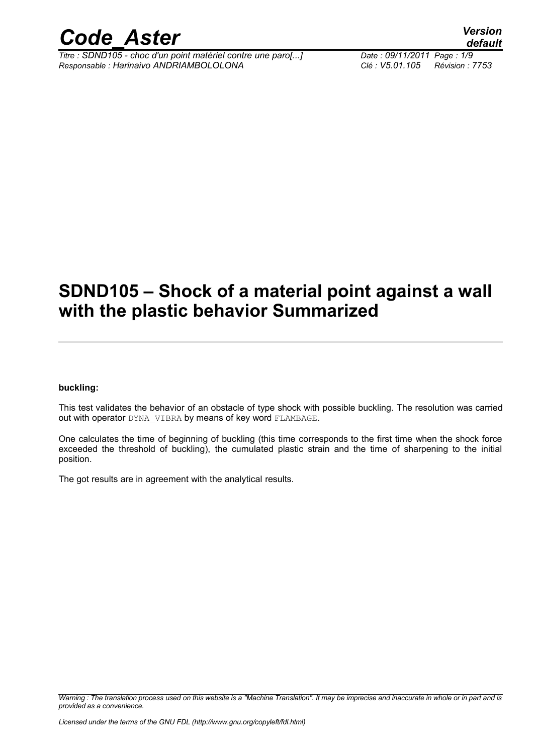

*Titre : SDND105 - choc d'un point matériel contre une paro[...] Date : 09/11/2011 Page : 1/9 Responsable : Harinaivo ANDRIAMBOLOLONA Clé : V5.01.105 Révision : 7753*

## **SDND105 – Shock of a material point against a wall with the plastic behavior Summarized**

#### **buckling:**

This test validates the behavior of an obstacle of type shock with possible buckling. The resolution was carried out with operator DYNA VIBRA by means of key word FLAMBAGE.

One calculates the time of beginning of buckling (this time corresponds to the first time when the shock force exceeded the threshold of buckling), the cumulated plastic strain and the time of sharpening to the initial position.

The got results are in agreement with the analytical results.

*Warning : The translation process used on this website is a "Machine Translation". It may be imprecise and inaccurate in whole or in part and is provided as a convenience.*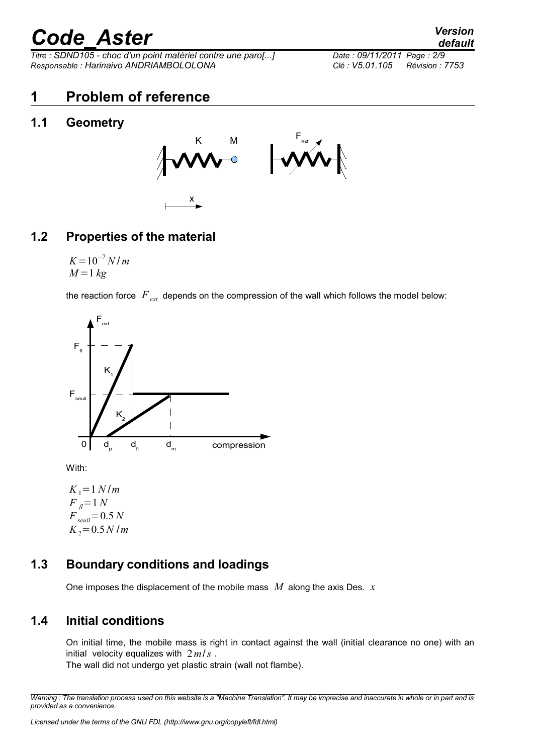*Titre : SDND105 - choc d'un point matériel contre une paro[...] Date : 09/11/2011 Page : 2/9 Responsable : Harinaivo ANDRIAMBOLOLONA Clé : V5.01.105 Révision : 7753*

*default*

### **1 Problem of reference**

### **1.1 Geometry**



### **1.2 Properties of the material**

 $K = 10^{-7} N/m$  $M = 1$   $kg$ 

the reaction force *Fext* depends on the compression of the wall which follows the model below:



With:

 $K_1 = 1 N/m$  $F_{\eta} = 1 N$  $F_{seuil} = 0.5 N$  $K_2 = 0.5 N/m$ 

### **1.3 Boundary conditions and loadings**

One imposes the displacement of the mobile mass *M* along the axis Des. *x*

### **1.4 Initial conditions**

On initial time, the mobile mass is right in contact against the wall (initial clearance no one) with an initial velocity equalizes with 2*m*/*s* .

The wall did not undergo yet plastic strain (wall not flambe).

*Warning : The translation process used on this website is a "Machine Translation". It may be imprecise and inaccurate in whole or in part and is provided as a convenience.*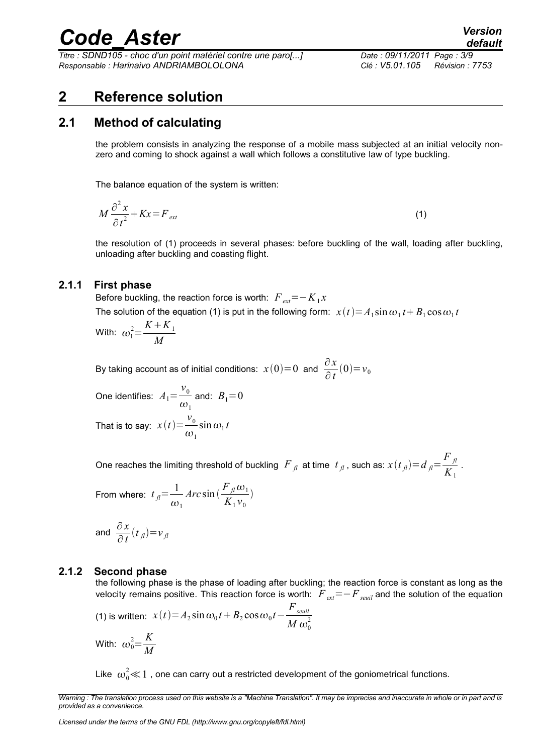*Titre : SDND105 - choc d'un point matériel contre une paro[...] Date : 09/11/2011 Page : 3/9 Responsable : Harinaivo ANDRIAMBOLOLONA Clé : V5.01.105 Révision : 7753*

### **2 Reference solution**

### **2.1 Method of calculating**

the problem consists in analyzing the response of a mobile mass subjected at an initial velocity nonzero and coming to shock against a wall which follows a constitutive law of type buckling.

The balance equation of the system is written:

$$
M\frac{\partial^2 x}{\partial t^2} + Kx = F_{ext} \tag{1}
$$

the resolution of (1) proceeds in several phases: before buckling of the wall, loading after buckling, unloading after buckling and coasting flight.

#### **2.1.1 First phase**

Before buckling, the reaction force is worth:  $\overline{F}_{ext}$   $=$   $K_{1}x$ 

The solution of the equation (1) is put in the following form:  $\; x(t) \!=\! A_1 \sin \omega_1 t \!+\! B_1 \cos \omega_1 t$ 

With: 
$$
\omega_1^2 = \frac{K + K_1}{M}
$$

By taking account as of initial conditions:  $x(0)=0$  and  $\frac{\partial x}{\partial t}(0)=v_0$ 

One identifies:  $A_1=$  $v<sub>0</sub>$  $\omega_{1}$ and:  $B_1 = 0$ That is to say:  $x(t) = \frac{v_0}{t}$  $\omega_{1}$  $\sin \omega_1 t$ 

One reaches the limiting threshold of buckling  $|F|_{fl}$  at time  $|t|_{fl}$  , such as:  $x(t|_{fl})$  =  $d_{fl}$  = *F fl*  $\frac{\mu}{K_1}$ .

From where: 
$$
t_{\hat{\jmath}} = \frac{1}{\omega_1} Arc \sin(\frac{F_{\hat{\jmath}} \omega_1}{K_1 v_0})
$$

and 
$$
\frac{\partial x}{\partial t}(t_{\text{A}}) = v_{\text{A}}
$$

#### **2.1.2 Second phase**

the following phase is the phase of loading after buckling; the reaction force is constant as long as the velocity remains positive. This reaction force is worth:  $F_{ext}=-F_{semi}$  and the solution of the equation

(1) is written: 
$$
x(t) = A_2 \sin \omega_0 t + B_2 \cos \omega_0 t - \frac{F_{seuil}}{M \omega_0^2}
$$
  
With:  $\omega_0^2 = \frac{K}{M}$ 

Like  $\,\omega_0^2\!\ll\!1$  , one can carry out a restricted development of the goniometrical functions.

*Warning : The translation process used on this website is a "Machine Translation". It may be imprecise and inaccurate in whole or in part and is provided as a convenience.*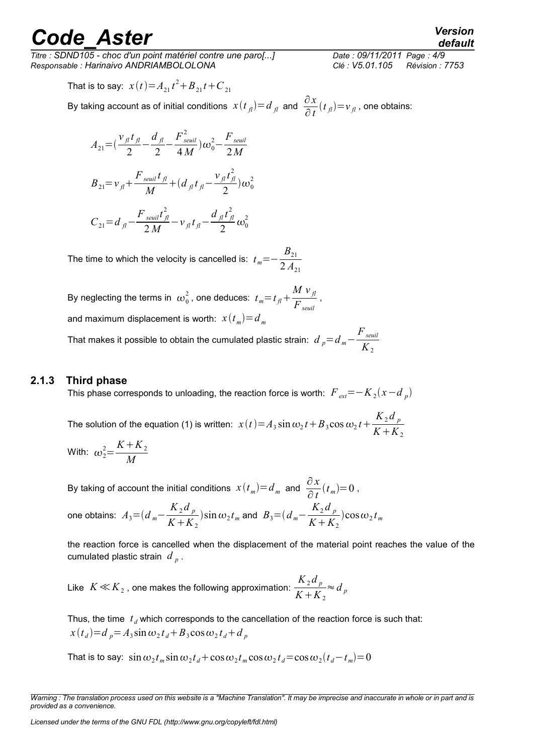*Titre : SDND105 - choc d'un point matériel contre une paro[...] Date : 09/11/2011 Page : 4/9 Responsable : Harinaivo ANDRIAMBOLOLONA Clé : V5.01.105 Révision : 7753*

That is to say:  $x(t) = A_{21}t^2 + B_{21}t + C_{21}$ 

By taking account as of initial conditions  $x(t_{\bar{J}})=d_{\bar{J}l}$  and  $\frac{\partial x}{\partial t}(t_{\bar{J}l})=v_{\bar{J}l}$  , one obtains:

$$
A_{21} = \left(\frac{v_{\jmath}t_{\jmath}}{2} - \frac{d_{\jmath}}{2} - \frac{F_{seuil}^2}{4M}\right)\omega_0^2 - \frac{F_{seuil}}{2M}
$$
  
\n
$$
B_{21} = v_{\jmath} + \frac{F_{seuil}t_{\jmath}}{M} + \left(d_{\jmath}t_{\jmath} - \frac{v_{\jmath}t_{\jmath}^2}{2}\right)\omega_0^2
$$
  
\n
$$
C_{21} = d_{\jmath} - \frac{F_{seuil}t_{\jmath}^2}{2M} - v_{\jmath}t_{\jmath} - \frac{d_{\jmath}t_{\jmath}^2}{2}\omega_0^2
$$

The time to which the velocity is cancelled is:  $t_m$ = $B_{21}$  $2A_{21}$ 

By neglecting the terms in  $\omega_0^2$  , one deduces:  $t_{\it m} \text{=} t_{\it fl} \text{+}$  $M v_{\hat{fl}}$  $\frac{J^{\mu}}{F_{seuil}}$  , and maximum displacement is worth:  $\ x(t_{_{m}})\text{=}d_{_{m}}$ 

That makes it possible to obtain the cumulated plastic strain:  $\,d\,_{p}\!=\!d_{\,m}\!-\!1$ *Fseuil*  $K_{2}$ 

#### **2.1.3 Third phase**

This phase corresponds to unloading, the reaction force is worth:  $\overline{F}_{\textit{ext}}{=}{-}K_{2}^{}(x{-}d_{_{p}^{}})$ 

The solution of the equation (1) is written:  $x(t) = A_3 \sin \omega_2 t + B_3 \cos \omega_2 t + \frac{K_2 d}{K_1 K}$  $K + K_2$ 

With: 
$$
\omega_2^2 = \frac{K + K_2}{M}
$$

By taking of account the initial conditions  $x(t_m)=d_m$  and  $\frac{\partial x}{\partial x}$  $\frac{\partial x}{\partial t}(t_m)=0$ ,

one obtains: 
$$
A_3 = (d_m - \frac{K_2 d_p}{K + K_2}) \sin \omega_2 t_m
$$
 and  $B_3 = (d_m - \frac{K_2 d_p}{K + K_2}) \cos \omega_2 t_m$ 

the reaction force is cancelled when the displacement of the material point reaches the value of the cumulated plastic strain  $\left. d\right. _{p}$  .

Like  $K \! \ll \! K_{2}$  , one makes the following approximation:  $\frac{{K}_{2} d_{p}}{K + K}$  $K + K_2$ ≈*d <sup>p</sup>*

Thus, the time  $|t_{\vec{d}}|$  which corresponds to the cancellation of the reaction force is such that:  $x(t_d) = d_p = A_3 \sin \omega_2 t_d + B_3 \cos \omega_2 t_d + d_p$ 

That is to say:  $\sin \omega_2 t_m \sin \omega_2 t_d + \cos \omega_2 t_m \cos \omega_2 t_d \!=\! \cos \omega_2 (t_d \!-\! t_m) \!=\! 0$ 

*Warning : The translation process used on this website is a "Machine Translation". It may be imprecise and inaccurate in whole or in part and is provided as a convenience.*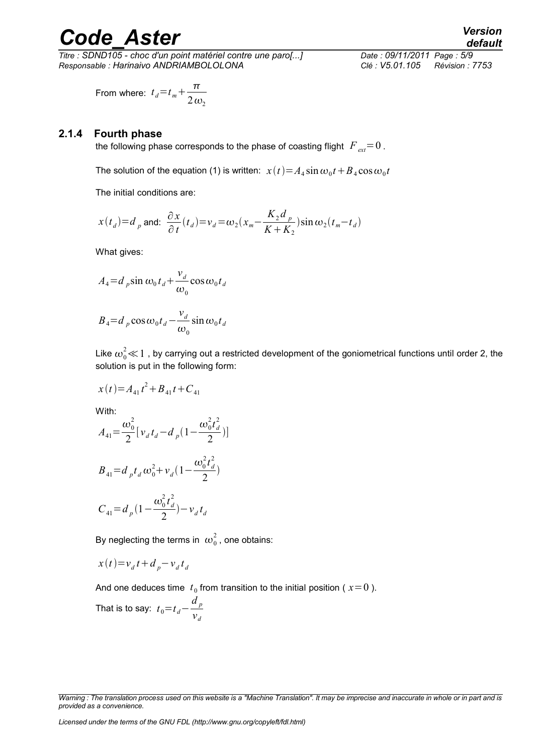*Titre : SDND105 - choc d'un point matériel contre une paro[...] Date : 09/11/2011 Page : 5/9 Responsable : Harinaivo ANDRIAMBOLOLONA Clé : V5.01.105 Révision : 7753*

From where: 
$$
t_d = t_m + \frac{\pi}{2 \omega_2}
$$

#### **2.1.4 Fourth phase**

the following phase corresponds to the phase of coasting flight  $F_{ext}=0$ .

The solution of the equation (1) is written:  $x(t) {=} A_4\sin\omega_0 t {+} B_4\cos\omega_0 t$ 

The initial conditions are:

$$
x(t_d) = d_p \text{ and: } \frac{\partial x}{\partial t}(t_d) = v_d = \omega_2 (x_m - \frac{K_2 d_p}{K + K_2}) \sin \omega_2 (t_m - t_d)
$$

What gives:

$$
A_4 = d_p \sin \omega_0 t_d + \frac{v_d}{\omega_0} \cos \omega_0 t_d
$$

$$
B_4 = d_p \cos \omega_0 t_d - \frac{v_d}{\omega_0} \sin \omega_0 t_d
$$

Like  $\omega_0^2{\ll}1$  , by carrying out a restricted development of the goniometrical functions until order 2, the solution is put in the following form:

 $x(t) = A_{41}t^2 + B_{41}t + C_{41}$ 

With:

$$
A_{41} = \frac{\omega_0^2}{2} [v_d t_d - d_p (1 - \frac{\omega_0^2 t_d^2}{2})]
$$
  

$$
B_{41} = d_p t_d \omega_0^2 + v_d (1 - \frac{\omega_0^2 t_d^2}{2})
$$

$$
C_{41} = d_p \left(1 - \frac{\omega_0^2 t_d^2}{2}\right) - v_d t_d
$$

By neglecting the terms in  $\ket{\omega_0^2}$  , one obtains:

$$
x(t) = v_d t + d_p - v_d t_d
$$

And one deduces time  $t_0$  from transition to the initial position ( $x=0$ ).

That is to say: 
$$
t_0 = t_d - \frac{d_p}{v_d}
$$

*Warning : The translation process used on this website is a "Machine Translation". It may be imprecise and inaccurate in whole or in part and is provided as a convenience.*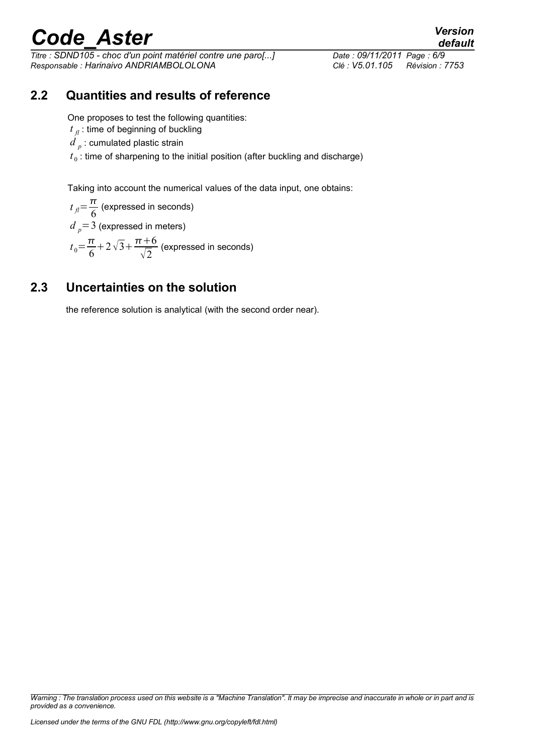*Titre : SDND105 - choc d'un point matériel contre une paro[...] Date : 09/11/2011 Page : 6/9 Responsable : Harinaivo ANDRIAMBOLOLONA Clé : V5.01.105 Révision : 7753*

### **2.2 Quantities and results of reference**

One proposes to test the following quantities:

- $t_{\parallel f}$  : time of beginning of buckling
- $d$   $_{p}$  : cumulated plastic strain

 $t_0$ : time of sharpening to the initial position (after buckling and discharge)

Taking into account the numerical values of the data input, one obtains:

 $t_{\parallel}=\frac{\pi}{6}$  $\frac{\pi}{6}$  (expressed in seconds)  $d_p = 3$  (expressed in meters)  $t_0 = \frac{\pi}{6}$  $\frac{\pi}{6}$ +2 $\sqrt{3}$ + $\frac{\pi+6}{\sqrt{2}}$  $\frac{1}{\sqrt{2}}$  (expressed in seconds)

### **2.3 Uncertainties on the solution**

the reference solution is analytical (with the second order near).

*Warning : The translation process used on this website is a "Machine Translation". It may be imprecise and inaccurate in whole or in part and is provided as a convenience.*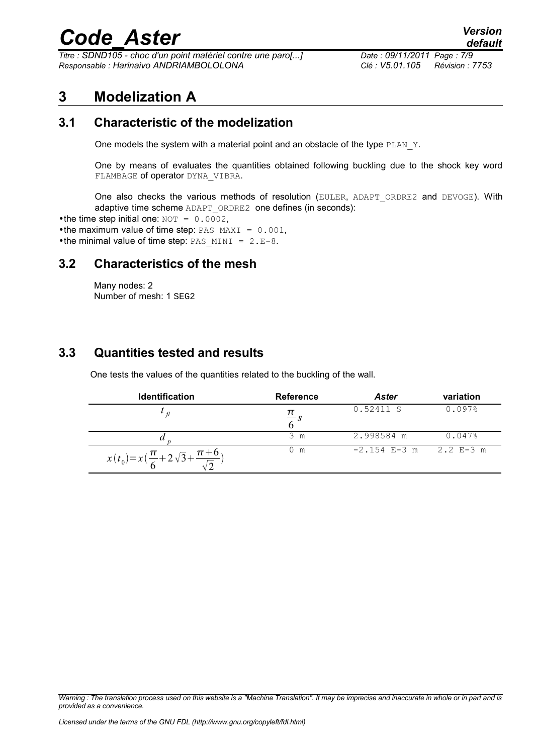*Titre : SDND105 - choc d'un point matériel contre une paro[...] Date : 09/11/2011 Page : 7/9 Responsable : Harinaivo ANDRIAMBOLOLONA Clé : V5.01.105 Révision : 7753*

### **3 Modelization A**

### **3.1 Characteristic of the modelization**

One models the system with a material point and an obstacle of the type PLAN\_Y.

One by means of evaluates the quantities obtained following buckling due to the shock key word FLAMBAGE of operator DYNA\_VIBRA.

One also checks the various methods of resolution (EULER, ADAPT\_ORDRE2 and DEVOGE). With adaptive time scheme ADAPT\_ORDRE2 one defines (in seconds):

•the time step initial one:  $NOT = 0.0002$ .

•the maximum value of time step: PAS MAXI =  $0.001$ ,

•the minimal value of time step: PAS MINI =  $2.E-8$ .

#### **3.2 Characteristics of the mesh**

Many nodes: 2 Number of mesh: 1 SEG2

### **3.3 Quantities tested and results**

One tests the values of the quantities related to the buckling of the wall.

| <b>Identification</b>                                      | <b>Reference</b> | <b>Aster</b>   | variation   |
|------------------------------------------------------------|------------------|----------------|-------------|
|                                                            |                  | 0.52411 S      | 0.097%      |
|                                                            | 3 m              | 2.998584 m     | 0.047%      |
| $x(t_0)=x(\frac{\pi}{6}+2\sqrt{3}+\frac{\pi+6}{\sqrt{2}})$ | 0 m              | $-2.154$ E-3 m | $2.2$ E-3 m |

*Warning : The translation process used on this website is a "Machine Translation". It may be imprecise and inaccurate in whole or in part and is provided as a convenience.*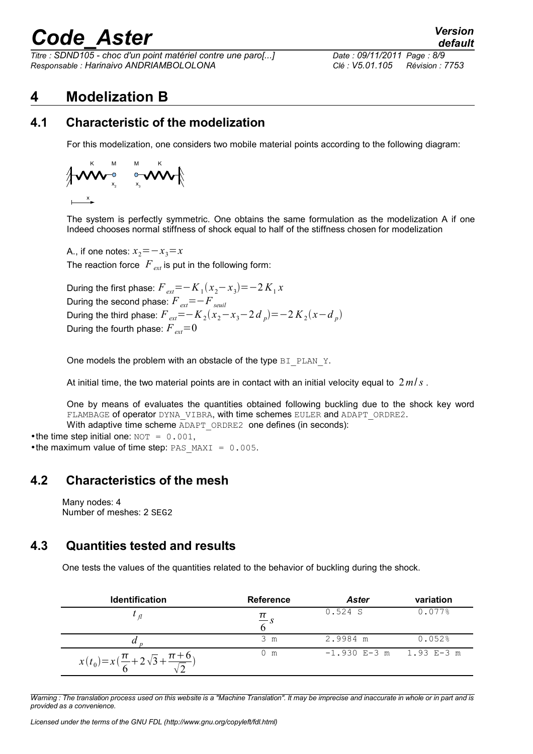*Titre : SDND105 - choc d'un point matériel contre une paro[...] Date : 09/11/2011 Page : 8/9 Responsable : Harinaivo ANDRIAMBOLOLONA Clé : V5.01.105 Révision : 7753*

### **4 Modelization B**

### **4.1 Characteristic of the modelization**

For this modelization, one considers two mobile material points according to the following diagram:

$$
\left\{\begin{matrix} \sum_{x}^{K} & \mathbf{M} & \mathbf{M} & \mathbf{K} \\ \mathbf{M} & \mathbf{M} & \mathbf{M} & \mathbf{M} \\ \mathbf{M} & \mathbf{M} & \mathbf{M} & \mathbf{M} \end{matrix}\right\}
$$

The system is perfectly symmetric. One obtains the same formulation as the modelization A if one Indeed chooses normal stiffness of shock equal to half of the stiffness chosen for modelization

A., if one notes:  $x_2 = -x_3 = x$ The reaction force  $F_{ext}$  is put in the following form:

During the first phase:  $\overline{F}_{ext}$ =− $K_1(x_2 - x_3)$ =−2 $K_1x$ During the second phase:  $F_{ext}=-F_{seuil}$ During the third phase:  $F_{ext}$ =− $K_2(x_2 - x_3 - 2 d_p)$ =−2 $K_2(x - d_p)$ During the fourth phase:  $F_{ext}=0$ 

One models the problem with an obstacle of the type BI\_PLAN\_Y.

At initial time, the two material points are in contact with an initial velocity equal to 2*m*/*s* .

One by means of evaluates the quantities obtained following buckling due to the shock key word FLAMBAGE of operator DYNA\_VIBRA, with time schemes EULER and ADAPT\_ORDRE2.

With adaptive time scheme ADAPT\_ORDRE2 one defines (in seconds):

•the time step initial one:  $NOT = 0.001$ , •the maximum value of time step: PAS MAXI =  $0.005$ .

### **4.2 Characteristics of the mesh**

Many nodes: 4 Number of meshes: 2 SEG2

### **4.3 Quantities tested and results**

One tests the values of the quantities related to the behavior of buckling during the shock.

| <b>Identification</b>                                      | <b>Reference</b> | <b>Aster</b>                | variation |
|------------------------------------------------------------|------------------|-----------------------------|-----------|
|                                                            |                  | 0.524 S                     | 0.077%    |
|                                                            | 3 m              | 2.9984 m                    | 0.052%    |
| $x(t_0)=x(\frac{\pi}{6}+2\sqrt{3}+\frac{\pi+6}{\sqrt{2}})$ | $0 \text{ m}$    | $-1.930$ E-3 m $1.93$ E-3 m |           |

*Warning : The translation process used on this website is a "Machine Translation". It may be imprecise and inaccurate in whole or in part and is provided as a convenience.*